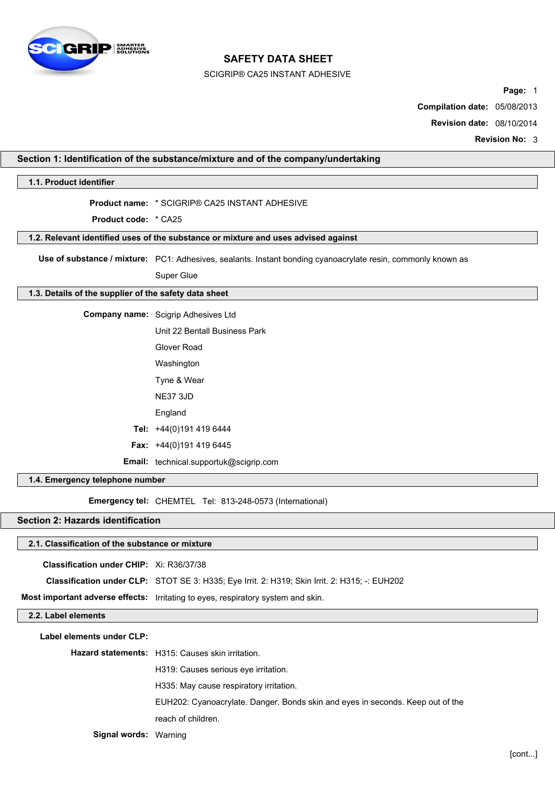

## SCIGRIP® CA25 INSTANT ADHESIVE

**Section 1: Identification of the substance/mixture and of the company/undertaking**

**Page:** 1

**Compilation date:** 05/08/2013

**Revision date:** 08/10/2014

**Revision No:** 3

| 1.1. Product identifier                               |                                                                                                              |
|-------------------------------------------------------|--------------------------------------------------------------------------------------------------------------|
|                                                       | <b>Product name: * SCIGRIP® CA25 INSTANT ADHESIVE</b>                                                        |
| <b>Product code:</b> * CA25                           |                                                                                                              |
|                                                       | 1.2. Relevant identified uses of the substance or mixture and uses advised against                           |
|                                                       |                                                                                                              |
|                                                       | Use of substance / mixture: PC1: Adhesives, sealants. Instant bonding cyanoacrylate resin, commonly known as |
|                                                       | Super Glue                                                                                                   |
| 1.3. Details of the supplier of the safety data sheet |                                                                                                              |
|                                                       | Company name: Scigrip Adhesives Ltd                                                                          |
|                                                       | Unit 22 Bentall Business Park                                                                                |
|                                                       | Glover Road                                                                                                  |
|                                                       | Washington                                                                                                   |
|                                                       | Tyne & Wear                                                                                                  |
|                                                       | <b>NE37 3JD</b>                                                                                              |
|                                                       | England                                                                                                      |
|                                                       | Tel: +44(0)191 419 6444                                                                                      |
|                                                       | Fax: $+44(0)1914196445$                                                                                      |
|                                                       | Email: technical.supportuk@scigrip.com                                                                       |
| 1.4. Emergency telephone number                       |                                                                                                              |
|                                                       | Emergency tel: CHEMTEL Tel: 813-248-0573 (International)                                                     |
| <b>Section 2: Hazards identification</b>              |                                                                                                              |
| 2.1. Classification of the substance or mixture       |                                                                                                              |
| Classification under CHIP: Xi: R36/37/38              |                                                                                                              |
|                                                       | Classification under CLP: STOT SE 3: H335; Eye Irrit. 2: H319; Skin Irrit. 2: H315; -: EUH202                |
|                                                       | Most important adverse effects: Irritating to eyes, respiratory system and skin.                             |
| 2.2. Label elements                                   |                                                                                                              |
| Label elements under CLP:                             |                                                                                                              |
|                                                       | Hazard statements: H315: Causes skin irritation.                                                             |
|                                                       | H319: Causes serious eye irritation.                                                                         |
|                                                       | H335: May cause respiratory irritation.                                                                      |
|                                                       | EUH202: Cyanoacrylate. Danger. Bonds skin and eyes in seconds. Keep out of the                               |
|                                                       | reach of children.                                                                                           |
| Signal words: Warning                                 |                                                                                                              |
|                                                       |                                                                                                              |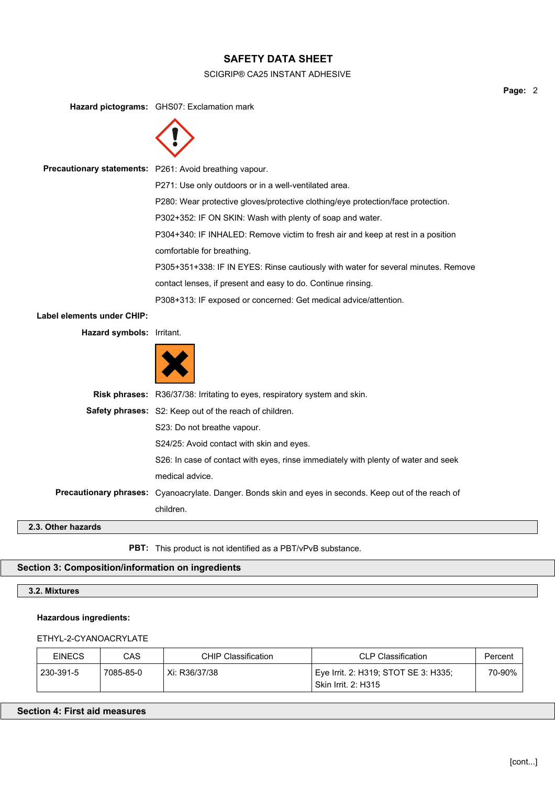### SCIGRIP® CA25 INSTANT ADHESIVE

**Hazard pictograms:** GHS07: Exclamation mark



**Precautionary statements:** P261: Avoid breathing vapour.

P271: Use only outdoors or in a well-ventilated area.

P280: Wear protective gloves/protective clothing/eye protection/face protection.

P302+352: IF ON SKIN: Wash with plenty of soap and water.

P304+340: IF INHALED: Remove victim to fresh air and keep at rest in a position comfortable for breathing.

P305+351+338: IF IN EYES: Rinse cautiously with water for several minutes. Remove contact lenses, if present and easy to do. Continue rinsing.

P308+313: IF exposed or concerned: Get medical advice/attention.

## **Label elements under CHIP:**

**Hazard symbols:** Irritant.



|             | <b>Risk phrases:</b> R36/37/38: Irritating to eyes, respiratory system and skin.                              |
|-------------|---------------------------------------------------------------------------------------------------------------|
|             | <b>Safety phrases:</b> S2: Keep out of the reach of children.                                                 |
|             | S23: Do not breathe vapour.                                                                                   |
|             | S24/25: Avoid contact with skin and eyes.                                                                     |
|             | S26: In case of contact with eyes, rinse immediately with plenty of water and seek                            |
|             | medical advice.                                                                                               |
|             | <b>Precautionary phrases:</b> Cyanoacrylate. Danger. Bonds skin and eyes in seconds. Keep out of the reach of |
|             | children.                                                                                                     |
| har hazarde |                                                                                                               |

## **2.3. Other hazards**

**PBT:** This product is not identified as a PBT/vPvB substance.

# **Section 3: Composition/information on ingredients**

**3.2. Mixtures**

## **Hazardous ingredients:**

## ETHYL-2-CYANOACRYLATE

| <b>EINECS</b> | CAS       | <b>CHIP Classification</b> | CLP Classification                                          | Percent |
|---------------|-----------|----------------------------|-------------------------------------------------------------|---------|
| 230-391-5     | 7085-85-0 | Xi: R36/37/38              | Eye Irrit. 2: H319; STOT SE 3: H335;<br>Skin Irrit. 2: H315 | 70-90%  |

## **Section 4: First aid measures**

**Page:** 2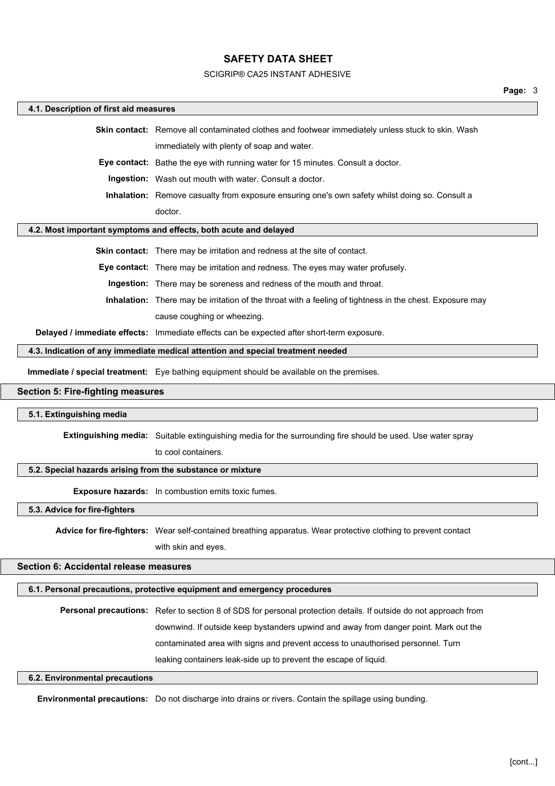#### SCIGRIP® CA25 INSTANT ADHESIVE

#### **4.1. Description of first aid measures**

**Skin contact:** Remove all contaminated clothes and footwear immediately unless stuck to skin. Wash immediately with plenty of soap and water.

**Eye contact:** Bathe the eye with running water for 15 minutes. Consult a doctor.

**Ingestion:** Wash out mouth with water. Consult a doctor.

**Inhalation:** Remove casualty from exposure ensuring one's own safety whilst doing so. Consult a doctor.

#### **4.2. Most important symptoms and effects, both acute and delayed**

**Skin contact:** There may be irritation and redness at the site of contact.

**Eye contact:** There may be irritation and redness. The eyes may water profusely.

**Ingestion:** There may be soreness and redness of the mouth and throat.

**Inhalation:** There may be irritation of the throat with a feeling of tightness in the chest. Exposure may cause coughing or wheezing.

**Delayed / immediate effects:** Immediate effects can be expected after short-term exposure.

#### **4.3. Indication of any immediate medical attention and special treatment needed**

**Immediate / special treatment:** Eye bathing equipment should be available on the premises.

#### **Section 5: Fire-fighting measures**

#### **5.1. Extinguishing media**

**Extinguishing media:** Suitable extinguishing media for the surrounding fire should be used. Use water spray

to cool containers.

#### **5.2. Special hazards arising from the substance or mixture**

**Exposure hazards:** In combustion emits toxic fumes.

**5.3. Advice for fire-fighters**

**Advice for fire-fighters:** Wear self-contained breathing apparatus. Wear protective clothing to prevent contact

with skin and eyes.

## **Section 6: Accidental release measures**

#### **6.1. Personal precautions, protective equipment and emergency procedures**

**Personal precautions:** Refer to section 8 of SDS for personal protection details. If outside do not approach from downwind. If outside keep bystanders upwind and away from danger point. Mark out the contaminated area with signs and prevent access to unauthorised personnel. Turn leaking containers leak-side up to prevent the escape of liquid.

#### **6.2. Environmental precautions**

**Environmental precautions:** Do not discharge into drains or rivers. Contain the spillage using bunding.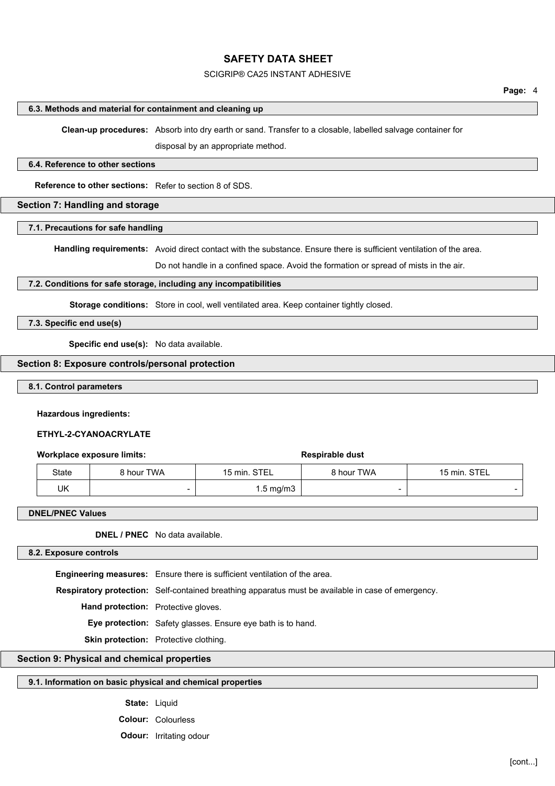### SCIGRIP® CA25 INSTANT ADHESIVE

#### **6.3. Methods and material for containment and cleaning up**

**Clean-up procedures:** Absorb into dry earth or sand. Transfer to a closable, labelled salvage container for

disposal by an appropriate method.

#### **6.4. Reference to other sections**

**Reference to other sections:** Refer to section 8 of SDS.

### **Section 7: Handling and storage**

#### **7.1. Precautions for safe handling**

**Handling requirements:** Avoid direct contact with the substance. Ensure there is sufficient ventilation of the area.

Do not handle in a confined space. Avoid the formation or spread of mists in the air.

## **7.2. Conditions for safe storage, including any incompatibilities**

**Storage conditions:** Store in cool, well ventilated area. Keep container tightly closed.

### **7.3. Specific end use(s)**

**Specific end use(s):** No data available.

## **Section 8: Exposure controls/personal protection**

### **8.1. Control parameters**

#### **Hazardous ingredients:**

#### **ETHYL-2-CYANOACRYLATE**

### **Workplace exposure limits: Workplace exposure limits: Respirable dust**

| State | 8 hour TWA | 15 min. STEL         | 8 hour TWA | 15 min. STEL |
|-------|------------|----------------------|------------|--------------|
| UK    |            | $1.5 \text{ mg/m}$ 3 |            |              |

#### **DNEL/PNEC Values**

**DNEL / PNEC** No data available.

#### **8.2. Exposure controls**

**Engineering measures:** Ensure there is sufficient ventilation of the area. **Respiratory protection:** Self-contained breathing apparatus must be available in case of emergency. **Hand protection:** Protective gloves. **Eye protection:** Safety glasses. Ensure eye bath is to hand. **Skin protection:** Protective clothing.

## **Section 9: Physical and chemical properties**

## **9.1. Information on basic physical and chemical properties**

**State:** Liquid

**Colour:** Colourless

**Odour:** Irritating odour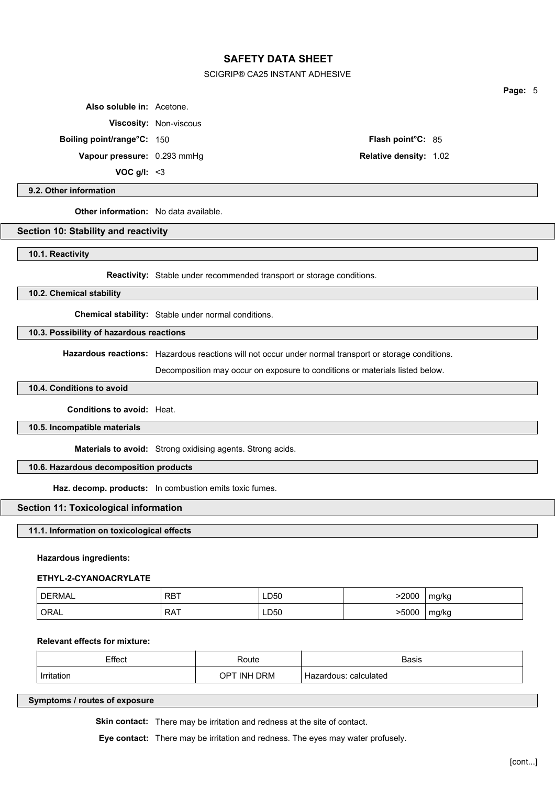#### SCIGRIP® CA25 INSTANT ADHESIVE

**Also soluble in:** Acetone.

**Viscosity:** Non-viscous

**Boiling point/range°C:** 150 **Flash point°C:** 85

**Vapour pressure:** 0.293 mmHg **Relative density:** 1.02

**VOC g/l:** <3

**9.2. Other information**

**Other information:** No data available.

### **Section 10: Stability and reactivity**

**10.1. Reactivity**

**Reactivity:** Stable under recommended transport or storage conditions.

**10.2. Chemical stability**

**Chemical stability:** Stable under normal conditions.

**10.3. Possibility of hazardous reactions**

**Hazardous reactions:** Hazardous reactions will not occur under normal transport or storage conditions.

Decomposition may occur on exposure to conditions or materials listed below.

### **10.4. Conditions to avoid**

**Conditions to avoid:** Heat.

**10.5. Incompatible materials**

**Materials to avoid:** Strong oxidising agents. Strong acids.

**10.6. Hazardous decomposition products**

**Haz. decomp. products:** In combustion emits toxic fumes.

### **Section 11: Toxicological information**

## **11.1. Information on toxicological effects**

#### **Hazardous ingredients:**

#### **ETHYL-2-CYANOACRYLATE**

| <b>DERMAL</b> | RBT | LD50 | 2000  | mg/kg |
|---------------|-----|------|-------|-------|
| ORAL          | RAT | LD50 | >5000 | mg/kg |

### **Relevant effects for mixture:**

| Effect                 | ∛oute             | <b>Basis</b>        |
|------------------------|-------------------|---------------------|
| .                      | .                 | .                   |
| <i>Irritation</i><br>. | DRM<br>INH<br>OP. | calculated<br>roous |

**Symptoms / routes of exposure**

**Skin contact:** There may be irritation and redness at the site of contact.

**Eye contact:** There may be irritation and redness. The eyes may water profusely.

**Page:** 5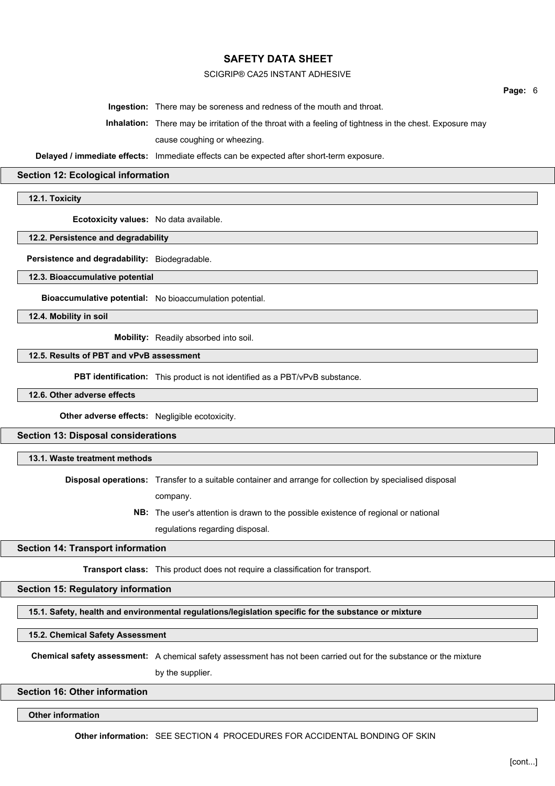### SCIGRIP® CA25 INSTANT ADHESIVE

**Page:** 6

**Ingestion:** There may be soreness and redness of the mouth and throat.

**Inhalation:** There may be irritation of the throat with a feeling of tightness in the chest. Exposure may cause coughing or wheezing.

**Delayed / immediate effects:** Immediate effects can be expected after short-term exposure.

#### **Section 12: Ecological information**

**12.1. Toxicity**

**Ecotoxicity values:** No data available.

**12.2. Persistence and degradability**

**Persistence and degradability:** Biodegradable.

**12.3. Bioaccumulative potential**

**Bioaccumulative potential:** No bioaccumulation potential.

**12.4. Mobility in soil**

**Mobility:** Readily absorbed into soil.

**12.5. Results of PBT and vPvB assessment**

**PBT identification:** This product is not identified as a PBT/vPvB substance.

**12.6. Other adverse effects**

**Other adverse effects:** Negligible ecotoxicity.

**Section 13: Disposal considerations**

**13.1. Waste treatment methods**

**Disposal operations:** Transfer to a suitable container and arrange for collection by specialised disposal company.

> **NB:** The user's attention is drawn to the possible existence of regional or national regulations regarding disposal.

### **Section 14: Transport information**

**Transport class:** This product does not require a classification for transport.

**Section 15: Regulatory information**

**15.1. Safety, health and environmental regulations/legislation specific for the substance or mixture**

**15.2. Chemical Safety Assessment**

**Chemical safety assessment:** A chemical safety assessment has not been carried out for the substance or the mixture

by the supplier.

**Section 16: Other information**

**Other information**

**Other information:** SEE SECTION 4 PROCEDURES FOR ACCIDENTAL BONDING OF SKIN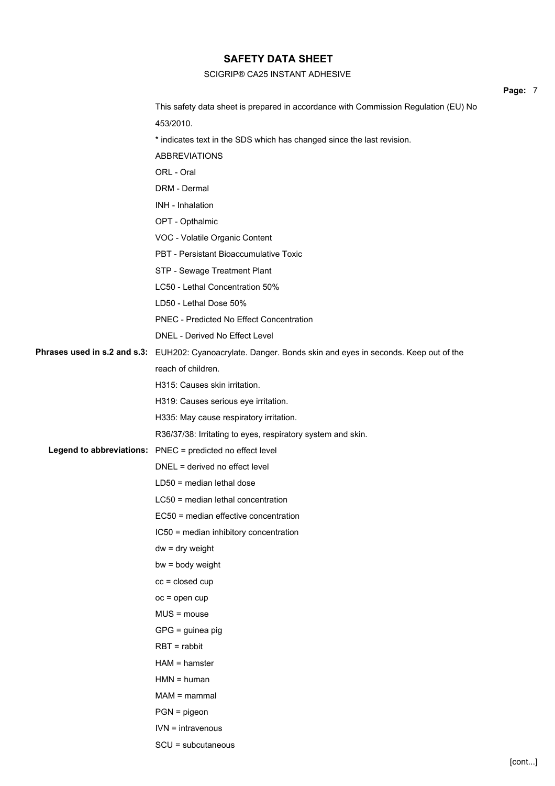## SCIGRIP® CA25 INSTANT ADHESIVE

|                                                                                                             | Page: 7 |  |
|-------------------------------------------------------------------------------------------------------------|---------|--|
| This safety data sheet is prepared in accordance with Commission Regulation (EU) No                         |         |  |
| 453/2010.                                                                                                   |         |  |
| * indicates text in the SDS which has changed since the last revision.                                      |         |  |
| <b>ABBREVIATIONS</b>                                                                                        |         |  |
| ORL - Oral                                                                                                  |         |  |
| DRM - Dermal                                                                                                |         |  |
| INH - Inhalation                                                                                            |         |  |
| OPT - Opthalmic                                                                                             |         |  |
| VOC - Volatile Organic Content                                                                              |         |  |
| PBT - Persistant Bioaccumulative Toxic                                                                      |         |  |
| STP - Sewage Treatment Plant                                                                                |         |  |
| LC50 - Lethal Concentration 50%                                                                             |         |  |
| LD50 - Lethal Dose 50%                                                                                      |         |  |
| PNEC - Predicted No Effect Concentration                                                                    |         |  |
| DNEL - Derived No Effect Level                                                                              |         |  |
| Phrases used in s.2 and s.3: EUH202: Cyanoacrylate. Danger. Bonds skin and eyes in seconds. Keep out of the |         |  |
| reach of children.                                                                                          |         |  |
| H315: Causes skin irritation.                                                                               |         |  |
| H319: Causes serious eye irritation.                                                                        |         |  |
| H335: May cause respiratory irritation.                                                                     |         |  |
| R36/37/38: Irritating to eyes, respiratory system and skin.                                                 |         |  |
| Legend to abbreviations: PNEC = predicted no effect level                                                   |         |  |
| DNEL = derived no effect level                                                                              |         |  |
| $LD50$ = median lethal dose                                                                                 |         |  |
| $LC50$ = median lethal concentration                                                                        |         |  |
| EC50 = median effective concentration                                                                       |         |  |
| IC50 = median inhibitory concentration                                                                      |         |  |
| $dw = dry$ weight                                                                                           |         |  |
| bw = body weight                                                                                            |         |  |
| $cc = closed cup$                                                                                           |         |  |
| $oc = open cup$                                                                                             |         |  |
| $MUS = mouse$                                                                                               |         |  |
| GPG = guinea pig                                                                                            |         |  |
| $RBT = rabbit$                                                                                              |         |  |
| $HAM = hamster$                                                                                             |         |  |
| $HMN = human$                                                                                               |         |  |
| $MAM =$ mammal                                                                                              |         |  |
| $PGN = pigeon$                                                                                              |         |  |
| $IVN = intravenous$                                                                                         |         |  |
| SCU = subcutaneous                                                                                          |         |  |